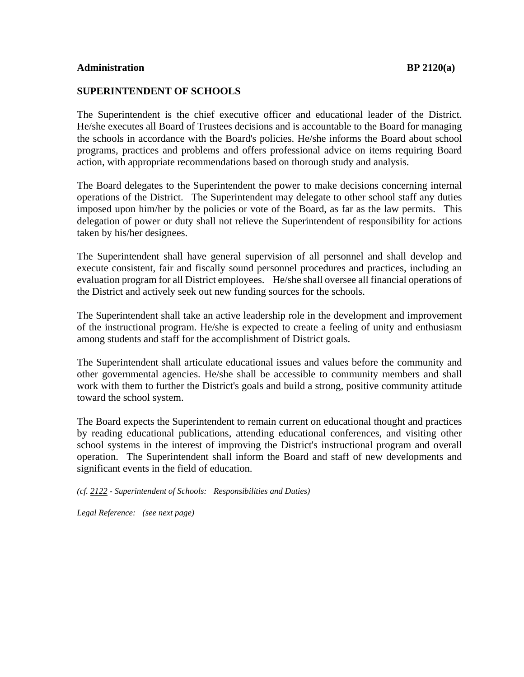## **SUPERINTENDENT OF SCHOOLS**

The Superintendent is the chief executive officer and educational leader of the District. He/she executes all Board of Trustees decisions and is accountable to the Board for managing the schools in accordance with the Board's policies. He/she informs the Board about school programs, practices and problems and offers professional advice on items requiring Board action, with appropriate recommendations based on thorough study and analysis.

The Board delegates to the Superintendent the power to make decisions concerning internal operations of the District. The Superintendent may delegate to other school staff any duties imposed upon him/her by the policies or vote of the Board, as far as the law permits. This delegation of power or duty shall not relieve the Superintendent of responsibility for actions taken by his/her designees.

The Superintendent shall have general supervision of all personnel and shall develop and execute consistent, fair and fiscally sound personnel procedures and practices, including an evaluation program for all District employees. He/she shall oversee all financial operations of the District and actively seek out new funding sources for the schools.

The Superintendent shall take an active leadership role in the development and improvement of the instructional program. He/she is expected to create a feeling of unity and enthusiasm among students and staff for the accomplishment of District goals.

The Superintendent shall articulate educational issues and values before the community and other governmental agencies. He/she shall be accessible to community members and shall work with them to further the District's goals and build a strong, positive community attitude toward the school system.

The Board expects the Superintendent to remain current on educational thought and practices by reading educational publications, attending educational conferences, and visiting other school systems in the interest of improving the District's instructional program and overall operation. The Superintendent shall inform the Board and staff of new developments and significant events in the field of education.

*(cf. 2122 - Superintendent of Schools: Responsibilities and Duties)*

*Legal Reference: (see next page)*